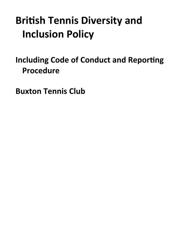# **Britsh Tennis Diversity and Inclusion Policy**

# <span id="page-0-0"></span>**Including Code of Conduct and Reporting Procedure**

**Buxton Tennis Club**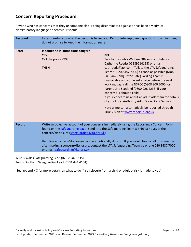### **Concern Reporting Procedure**

Anyone who has concerns that they or someone else is being discriminated against or has been a victim of discriminatory language or behaviour should:

| <b>Respond</b> | Listen carefully to what the person is telling you. Do not interrupt; keep questions to a minimum;<br>do not promise to keep the information secret                                                                                                                                                                                                                                                                                                                          |                                                                                                                                                                                                                                                                                                                                                                                                                                                                                                                                                                                                                                                            |
|----------------|------------------------------------------------------------------------------------------------------------------------------------------------------------------------------------------------------------------------------------------------------------------------------------------------------------------------------------------------------------------------------------------------------------------------------------------------------------------------------|------------------------------------------------------------------------------------------------------------------------------------------------------------------------------------------------------------------------------------------------------------------------------------------------------------------------------------------------------------------------------------------------------------------------------------------------------------------------------------------------------------------------------------------------------------------------------------------------------------------------------------------------------------|
| <b>Refer</b>   | Is someone in immediate danger?<br><b>YES</b><br>Call the police (999)<br><b>THEN</b>                                                                                                                                                                                                                                                                                                                                                                                        | <b>NO</b><br>Talk to the club's Welfare Officer in confidence<br>Catherine Reeds(01289214113) or email<br>cathreeds@aol.com; Talk to the LTA Safeguarding<br>Team * (020 8487 7000) as soon as possible [Mon-<br>Fri, 9am-5pm]. If the Safeguarding Team is<br>unavailable and you want advice before the next<br>working day, call the NSPCC (0808 800 5000) or<br>Parent Line Scotland (0800 028 2233) if your<br>concerns is about a child.<br>If your concern us about an adult ask them for details<br>of your Local Authority Adult Social Care Services.<br>Hate crime can alternatively be reported through<br>True Vision at www.report-it.org.uk |
| <b>Record</b>  | Write an objective account of your concerns immediately using the Reporting a Concern Form<br>found on the safeguarding page. Send it to the Safeguarding Team within 48 hours of the<br>concern/disclosure (safeguarding@Ita.org.uk)<br>Handling a concern/disclosure can be emotionally difficult. If you would like to talk to someone<br>after making a concern/disclosure, contact the LTA Safeguarding Team by phone 020 8487 7000<br>or email safeguarding@Ita.org.uk |                                                                                                                                                                                                                                                                                                                                                                                                                                                                                                                                                                                                                                                            |

Tennis Wales Safeguarding Lead (029 2046 3335) Tennis Scotland Safeguarding Lead (0131 444 4154).

(See appendix C for more details on what to do if a disclosure from a child or adult at risk is made to you)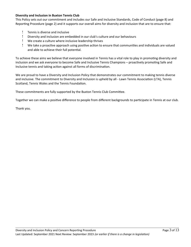#### **Diversity and Inclusion in Buxton Tennis Club**

This Policy sets out our commitment and includes our Safe and Inclusive Standards, Code of Conduct (page 8) and Reportng Procedure (page 2) and it supports our overall aims for diversity and inclusion that are to ensure that:

- Tennis is diverse and inclusive
- Diversity and inclusion are embedded in our club's culture and our behaviours
- We create a culture where inclusive leadership thrives
- ! We take a proactive approach using positive action to ensure that communities and individuals are valued and able to achieve their full potental.

To achieve these aims we believe that everyone involved in Tennis has a vital role to play in promoting diversity and inclusion and we ask everyone to become Safe and Inclusive Tennis Champions – proactively promoting Safe and Inclusive tennis and taking action against all forms of discrimination.

We are proud to have a Diversity and Inclusion Policy that demonstrates our commitment to making tennis diverse and inclusive. The commitment to Diversity and Inclusion is upheld by all - Lawn Tennis Associaton (LTA), Tennis Scotland, Tennis Wales and the Tennis Foundation.

These commitments are fully supported by the Buxton Tennis Club Commitee.

Together we can make a positve diference to people from diferent backgrounds to partcipate in Tennis at our club.

Thank you.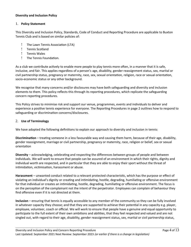#### **Diversity and Inclusion Policy**

#### 1. **Policy Statement**

This Diversity and Inclusion Policy, Standards, Code of Conduct and Reportng Procedure are applicable to Buxton Tennis Club and is based on similar policies of:

- ! The Lawn Tennis Association (LTA)
- ! Tennis Scotland
- ! Tennis Wales
- ! The Tennis Foundation.

As a club we contribute actvely to enable more people to play tennis more ofen, in a manner that it is safe, inclusive, and fair. This applies regardless of a person's age, disability, gender reassignment status, sex, marital or civil partnership status, pregnancy or maternity, race, sex, sexual orientaton, religion, race or sexual orientaton, socio-economic status or any other background.

We recognise that many concerns and/or disclosures may have both safeguarding and diversity and inclusion elements to them. This policy refects this through its reportng procedures, which replicate the safeguarding concern reporting procedures.

This Policy strives to minimise risk and support our venue, programmes, events and individuals to deliver and experience a positve tennis experience for everyone. The Reportng Procedures in page 2 outlines how to respond to safeguarding or discrimination concerns/disclosures.

#### 2. **Use of Terminology**

We have adopted the following definitions to explain our approach to diversity and inclusion in tennis:

**Discrimination** – treating someone in a less favourable way and causing them harm, because of their age, disability, gender reassignment, marriage or civil partnership, pregnancy or maternity, race, religion or belief, sex or sexual orientation

**Diversity** – acknowledging, celebrating and respecting the differences between groups of people and between individuals. We will work to ensure that people can be assured of an environment in which their rights, dignity and individual worth are respected, and in particular that they are able to enjoy their sport without the threat of intimidation, victimisation, harassment or abuse.

**Harassment** – unwanted conduct related to a relevant protected characteristc, which has the purpose or efect of violating an individual's dignity or creating and intimidating, hostile, degrading, humiliating or offensive environment for that individual or creates an intimidating, hostile, degrading, humiliating or offensive environment. The focus is on the percepton of the complainant not the intent of the perpetrator. Employees can complain of behaviour they find offensive even if it is not directed at them.

**Inclusion** – ensuring that tennis is equally accessible to any member of the community so they can be fully involved in whatever capacity they choose; and that they are supported to achieve their potental in any capacity e.g. player, employee, volunteer, coach or official. We will work to ensure that people have a genuine and equal opportunity to partcipate to the full extent of their own ambitons and abilites, that they feel respected and valued and are not singled out, with regard to their age, disability, gender reassignment status, sex, marital or civil partnership status,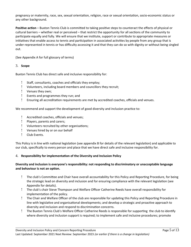pregnancy or maternity, race, sex, sexual orientation, religion, race or sexual orientation, socio-economic status or any other background.

**Positive action** – Buxton Tennis Club is committed to taking positive steps to counteract the effects of physical or cultural barriers – whether real or perceived – that restrict the opportunity for all sections of the community to partcipate equally and fully. We will ensure that we insttute, support or contribute to appropriate measures or initiatives that enable access to tennis and participation in associated activities by people from any group that is under-represented in tennis or has difficulty accessing it and that they can do so with dignity or without being singled out.

(See Appendix A for full glossary of terms)

#### 3. **Scope**

Buxton Tennis Club has direct safe and inclusive responsibility for:

- ! Staff, consultants, coaches and officials they employ;
- Volunteers, including board members and councillors they recruit;
- Venues they own;
- Events and programmes they run; and
- $!$  Ensuring all accreditation requirements are met by accredited coaches, officials and venues.

We recommend and support the development of good diversity and inclusion practice to:

- ! Accredited coaches, officials and venues;
- Players, parents and carers;
- Volunteers recruited by other organisatons;
- Venues hired by or on our behalf
- ! Club Events.

This Policy is in line with national legislation (see appendix B for details of the relevant legislation) and applicable to our club, specifcally to every person and place that we have direct safe and inclusive responsibility for.

#### 4. **Responsibility for implementaton of the Diversity and Inclusion Policy**

#### **Diversity and inclusion is everyone's responsibility: not responding to discriminatory or unacceptable language and behaviour is not an opton.**

- The club's Commitee and Chair have overall accountability for this Policy and Reportng Procedure, for being the strategic lead on diversity and inclusion and for ensuring compliance with the relevant legislation (see Appendix for details).
- ! The club's chair Steve Thompson and Welfare Officer Catherine Reeds have overall responsibility for implementation of the policy.
- ! The Chair and Welfare Officer of the club are responsible for updating this Policy and Reporting Procedure in line with legislative and organisational developments; and develop a strategic and proactive approach to diversity and inclusion and respond to discrimination concerns.
- ! The Buxton Tennis Club's Welfare Officer Catherine Reeds is responsible for supporting the club to identify where diversity and inclusion support is required; to implement safe and inclusive procedures; promote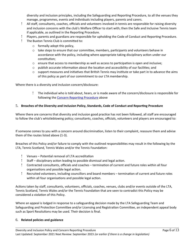diversity and inclusion principles, including the Safeguarding and Reporting Procedure, to all the venues they manage, programmes, events and individuals including players, parents and carers.

- ! All staff, consultants, coaches, officials and volunteers involved in tennis are responsible for raising diversity and inclusion concerns with the club's Welfare Officer to start with; then the Safe and Inclusive Tennis team if applicable, as outlined in the Reporting Procedure.
- Players, parents and guardians are responsible for upholding the Code of Conduct and Reportng Procedure.
- The Buxton Tennis Club is commited to:
	- o formally adopt this policy,
	- $\circ$  take steps to ensure that our committee, members, participants and volunteers behave in accordance with the policy, including where appropriate taking disciplinary action under our constitution:
	- $\circ$  ensure that access to membership as well as access to participation is open and inclusive;
	- $\circ$  publish accurate information about the location and accessibility of our facilities; and
	- $\circ$  support measures and initiatives that British Tennis may institute or take part in to advance the aims of this policy as part of our commitment to our LTA membership.

Where there is a diversity and inclusion concern/disclosure:

 The individual who is told about, hears, or is made aware of the concern/disclosure is responsible for following the Concern Reporting Procedure above

#### 5. **Breaches of the Diversity and Inclusion Policy, Standards, Code of Conduct and Reportng Procedure**

Where there are concerns that diversity and inclusion good practice has not been followed, all staff are encouraged to follow the club's whistleblowing policy; consultants, coaches, officials, volunteers and players are encouraged to:

If someone comes to you with a concern around discrimination, listen to their complaint, reassure them and advise them of the routes listed above (1-3).

Breaches of this Policy and/or failure to comply with the outlined responsibilites may result in the following by the LTA, Tennis Scotland, Tennis Wales and/or the Tennis Foundaton:

- Venues Potental removal of LTA accreditaton
- ! Staff disciplinary action leading to possible dismissal and legal action.
- Contracted consultants, officials and coaches termination of current and future roles within all four organisations and possible legal action.
- Recruited volunteers, including councillors and board members terminaton of current and future roles within all four organisations and possible legal action.

Actions taken by staff, consultants, volunteers, officials, coaches, venues, clubs and/or events outside of the LTA, Tennis Scotland, Tennis Wales and/or the Tennis Foundation that are seen to contradict this Policy may be considered a violation of this Policy.

Where an appeal is lodged in response to a safeguarding decision made by the LTA Safeguarding Team and Safeguarding and Protection Committee and/or Licensing and Registration Committee, an independent appeal body such as Sport Resolutions may be used. Their decision is final.

#### 6. **Related policies and guidance**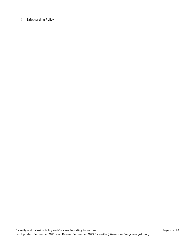#### Safeguarding Policy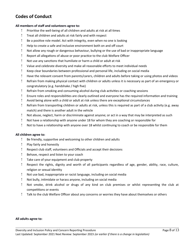## **Codes of Conduct**

#### All members of staff and volunteers agree to:

- Prioritse the well-being of all children and adults at risk at all tmes
- Treat all children and adults at risk fairly and with respect
- Be a positve role model. Act with integrity, even when no one is looking
- Help to create a safe and inclusive environment both on and off court
- Not allow any rough or dangerous behaviour, bullying or the use of bad or inappropriate language
- Proport all allegations of abuse or poor practice to the club Welfare Officer
- Not use any sanctons that humiliate or harm a child or adult at risk
- Value and celebrate diversity and make all reasonable eforts to meet individual needs
- Keep clear boundaries between professional and personal life, including on social media
- Have the relevant consent from parents/carers, children and adults before taking or using photos and videos
- Refrain from making physical contact with children or adults unless it is necessary as part of an emergency or congratulatory (e.g. handshake / high five)
- ! Refrain from smoking and consuming alcohol during club activities or coaching sessions
- Ensure roles and responsibilites are clearly outlined and everyone has the required informaton and training
- Avoid being alone with a child or adult at risk unless there are exceptonal circumstances
- ! Refrain from transporting children or adults at risk, unless this is required as part of a club activity (e.g. away match) and there is another adult in the vehicle
- Not abuse, neglect, harm or discriminate against anyone; or act in a way that may be interpreted as such
- Not have a relatonship with anyone under 18 for whom they are coaching or responsible for
- Not to have a relatonship with anyone over 18 whilst contnuing to coach or be responsible for them

#### **All children agree to:**

- Be friendly, supportve and welcoming to other children and adults
- Play fairly and honestly
- Pespect club staff, volunteers and Officials and accept their decisions
- Behave, respect and listen to your coach
- Take care of your equipment and club property
- Respect the rights, dignity and worth of all partcipants regardless of age, gender, ability, race, culture, religion or sexual identity
- Not use bad, inappropriate or racist language, including on social media
- Not bully, intmidate or harass anyone, including on social media
- Not smoke, drink alcohol or drugs of any kind on club premises or whilst representng the club at competitions or events
- ! Talk to the club Welfare Officer about any concerns or worries they have about themselves or others

#### **All adults agree to:**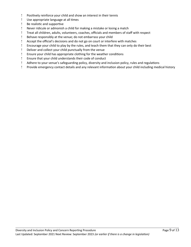- Positvely reinforce your child and show an interest in their tennis
- Use appropriate language at all tmes
- ! Be realistic and supportive
- Never ridicule or admonish a child for making a mistake or losing a match
- ! Treat all children, adults, volunteers, coaches, officials and members of staff with respect
- Behave responsibly at the venue; do not embarrass your child
- ! Accept the official's decisions and do not go on court or interfere with matches
- Encourage your child to play by the rules, and teach them that they can only do their best
- Deliver and collect your child punctually from the venue
- Ensure your child has appropriate clothing for the weather conditons
- Ensure that your child understands their code of conduct
- Adhere to your venue's safeguarding policy, diversity and inclusion policy, rules and regulatons
- Provide emergency contact details and any relevant informaton about your child including medical history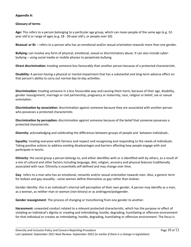#### **Appendix A:**

#### **Glossary of terms**

**Age:** This refers to a person belonging to a partcular age group, which can mean people of the same age (e.g. 32 year old's) or range of ages (e.g. 18 - 30-year old's, or people over 50).

**Bisexual or Bi:** – refers to a person who has an emotional and/or sexual orientation towards more than one gender.

**Bullying:** can involve any form of physical, emotonal, sexual or discriminatory abuse. It can also include cyberbullying – using social media or mobile phones to perpetrate bullying.

**Direct discriminaton:** treatng someone less favourably than another person because of a protected characteristc.

**Disability:** A person having a physical or mental impairment that has a substantal and long-term adverse efect on that person's ability to carry out normal day-to-day activities.

**Discriminaton:** treatng someone in a less favourable way and causing them harm, because of their age, disability, gender reassignment, marriage or civil partnership, pregnancy or maternity, race, religion or belief, sex or sexual orientaton.

**Discriminaton by associaton:** discriminaton against someone because they are associated with another person who possesses a protected characteristic.

**Discrimination by perception:** discrimination against someone because of the belief that someone possesses a protected characteristc.

**Diversity:** acknowledging and celebrating the differences between groups of people and between individuals.

**Equality**: treatng everyone with fairness and respect and recognising and responding to the needs of individuals. Taking positive actions to address existing disadvantages and barriers affecting how people engage with and participate in tennis.

**Ethnicity**: the social group a person belongs to, and either identifies with or is identified with by others, as a result of a mix of cultural and other factors including language, diet, religion, ancestry and physical features traditonally associated with race. Ethnicity is essentally self-defned and may change over tme.

Gay: refers to a man who has an emotional, romantic and/or sexual orientation towards men. Also, a generic term for lesbian and gay sexuality - some women defne themselves as gay rather than lesbian.

Gender identity: this is an individual's internal self-perception of their own gender. A person may identify as a man, as a woman, as neither man or woman (non-binary) or as androgyne/polygender.

**Gender reassignment**: The process of changing or transitoning from one gender to another.

**Harassment:** unwanted conduct related to a relevant protected characteristc, which has the purpose or efect of violating an individual's dignity or creating and intimidating, hostile, degrading, humiliating or offensive environment for that individual or creates an intimidating, hostile, degrading, humiliating or offensive environment. The focus is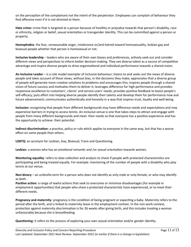on the percepton of the complainant not the intent of the perpetrator. Employees can complain of behaviour they find offensive even if it is not directed at them.

Hate crime: crime that is targeted at a person because of hostility or prejudice towards that person's disability, race or ethnicity, religion or belief, sexual orientaton or transgender identty. This can be commited against a person or property.

**Homophobia**: the fear, unreasonable anger, intolerance or/and hatred toward homosexuality, lesbian gay and bisexual people whether that person is homosexual or not.

**Inclusive leadership** – leaders who are aware of their own biases and preferences, actively seek out and consider different views and perspectives to inform better decision-making. They see diverse talent as a source of competitive advantage and inspire diverse people to drive organisatonal and individual performance towards a shared vision.

**An Inclusive Leader** – is a role model exemplar of inclusive behaviour; listens to and seeks out the views of diverse people and takes account of these views, without bias, in the decisions they make; appreciates that a diverse group of people will generate more creatve solutons to problems and encourages this; inspires people through a shared vision of future success and motvates them to deliver it; leverages diference for high performance and provides responsive excellence to customers', clients' and service users' needs; provides positve feedback to boost people's self-efficacy; puts effort into helping diverse people identify their talents and develop them for performance now and future advancement; communicates authentically and honestly in a way that inspires trust, loyalty and well-being.

**Inclusion:** recognising that people from diferent backgrounds may have diference needs and expectatons and may experience barriers in trying to access tennis. An inclusive venue is one that takes steps to atract and engage with people from many diferent backgrounds and meet their needs so that everyone has a positve experience and has the opportunity to achieve their potental.

**Indirect discrimination:** a practice, policy or rule which applies to everyone in the same way, but that has a worse effect on some people than others.

LGBTQ: an acronym for Lesbian, Gay, Bisexual, Trans and Questioning.

Lesbian: a woman who has an emotional romantic and /or sexual orientation towards women.

**Monitoring equality**: refers to data collection and analysis to check if people with protected characteristics are participating and being treated equally. For example: monitoring of the number of people with a disability who play tennis at our venue.

**Non-binary** – an umbrella term for a person who does not identfy as only male or only female, or who may identfy as both.

Positive action: a range of lawful actions that seek to overcome or minimise disadvantages (for example in employment opportunites) that people who share a protected characteristc have experienced, or to meet their diferent needs.

**Pregnancy and maternity**: pregnancy is the condition of being pregnant or expecting a baby. Maternity refers to the period afer the birth, and is linked to maternity leave in the employment context. In the non-work context, protection against maternity discrimination is for 26 weeks after giving birth, and this includes treating a woman unfavourably because she is breastfeeding.

**Questoning**: it refers to the process of exploring your own sexual orientaton and/or gender identty.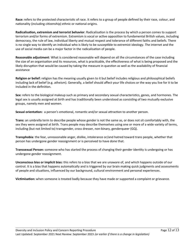**Race:** refers to the protected characteristic of race. It refers to a group of people defined by their race, colour, and nationality (including citizenship) ethnic or national origins.

**Radicalisaton, extremism and terrorist behavior**: Radicalisaton is the process by which a person comes to support terrorism and/or forms of extremism. Extremism is vocal or active opposition to fundamental British values, including democracy, the rule of law, individual liberty and mutual respect and tolerance of diferent faiths and beliefs. There is no single way to identfy an individual who is likely to be susceptble to extremist ideology. The internet and the use of social media can be a major factor in the radicalisation of people.

**Reasonable adjustment**: What is considered reasonable will depend on all the circumstances of the case including the size of an organisation and its resources, what is practicable, the effectiveness of what is being proposed and the likely disruption that would be caused by taking the measure in question as well as the availability of financial assistance

**Religion or belief:** religion has the meaning usually given to it but belief includes religious and philosophical beliefs including lack of belief (e.g. atheism). Generally, a belief should afect your life choices or the way you live for it to be included in the definition.

**Sex:** refers to the biological makeup such as primary and secondary sexual characteristcs, genes, and hormones. The legal sex is usually assigned at birth and has traditionally been understood as consisting of two mutually exclusive groups, namely men and women.

Sexual orientation: a person's emotional, romantic and/or sexual attraction to another person.

**Trans:** an umbrella term to describe people whose gender is not the same as, or does not sit comfortably with, the sex they were assigned at birth. Trans people may describe themselves using one or more of a wide variety of terms, including (but not limited to) transgender, cross dresser, non-binary, genderqueer (GQ).

**Transphobia**: the fear, unreasonable anger, dislike, intolerance or/and hatred toward trans people, whether that person has undergone gender reassignment or is perceived to have done that.

**Transsexual Person:** someone who has started the process of changing their gender identty is undergoing or has undergone gender reassignment.

**Unconscious bias or implicit bias:** this refers to a bias that we are unaware of, and which happens outside of our control. It is a bias that happens automatically and is triggered by our brain making quick judgments and assessments of people and situatons, infuenced by our background, cultural environment and personal experiences.

**Victmisaton:** when someone is treated badly because they have made or supported a complaint or grievance.